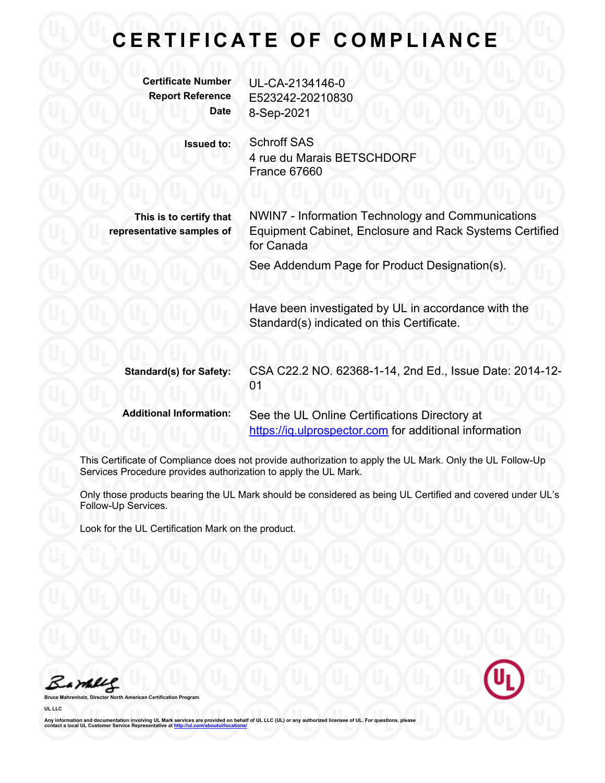### **CERTIFICATE OF COMPLIANCE**

| <b>Certificate Number</b><br><b>Report Reference</b><br><b>Date</b> | UL-CA-2134146-0<br>E523242-20210830<br>8-Sep-2021                                                                                                                                         |
|---------------------------------------------------------------------|-------------------------------------------------------------------------------------------------------------------------------------------------------------------------------------------|
| <b>Issued to:</b>                                                   | <b>Schroff SAS</b><br>4 rue du Marais BETSCHDORF<br>France 67660                                                                                                                          |
| This is to certify that<br>representative samples of                | <b>NWIN7 - Information Technology and Communications</b><br><b>Equipment Cabinet, Enclosure and Rack Systems Certified</b><br>for Canada<br>See Addendum Page for Product Designation(s). |
|                                                                     | Have been investigated by UL in accordance with the<br>Standard(s) indicated on this Certificate.                                                                                         |
| <b>Standard(s) for Safety:</b>                                      | CSA C22.2 NO. 62368-1-14, 2nd Ed., Issue Date: 2014-12-<br>01                                                                                                                             |
| <b>Additional Information:</b>                                      | See the UL Online Certifications Directory at<br>https://iq.ulprospector.com for additional information                                                                                   |

This Certificate of Compliance does not provide authorization to apply the UL Mark. Only the UL Follow-Up Services Procedure provides authorization to apply the UL Mark.

Only those products bearing the UL Mark should be considered as being UL Certified and covered under UL's Follow-Up Services.

Look for the UL Certification Mark on the product.

Barbles

**Bruce Mahrenholz, Director North American Certification Program UL LLC**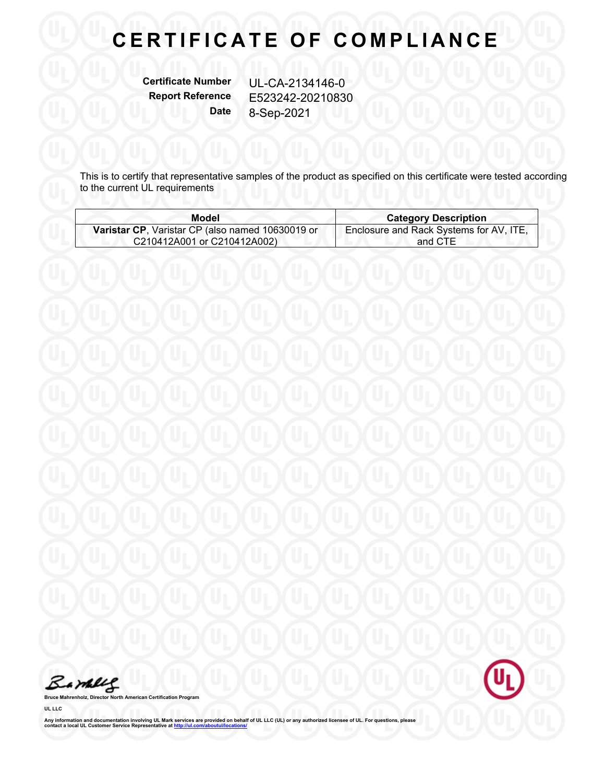# **CERTIFICATE OF COMPLIANCE**

**Certificate Number** UL-CA-2134146-0

**Report Reference** E523242-20210830 **Date** 8-Sep-2021

This is to certify that representative samples of the product as specified on this certificate were tested according to the current UL requirements

| <b>Model</b>                                     | <b>Category Description</b>             |
|--------------------------------------------------|-----------------------------------------|
| Varistar CP, Varistar CP (also named 10630019 or | Enclosure and Rack Systems for AV, ITE, |
| C210412A001 or C210412A002)                      | and CTE                                 |

Barbles

**Bruce Mahrenholz, Director North American Certification Program**

**UL LLC**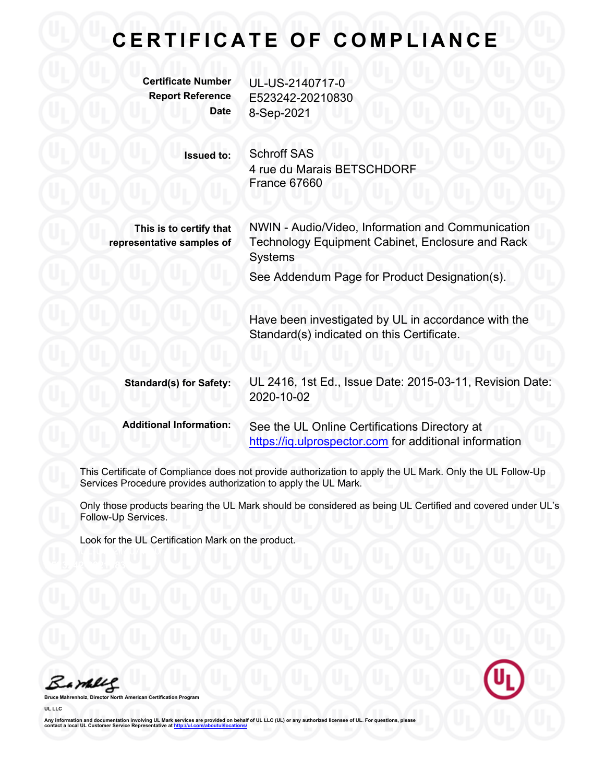### **C E R T I F I C A T E O F C O M P L I A N C E Certificate Number** UL-US-2140717-0 **Report Reference** E523242-20210830 **Date** 8-Sep-2021 **Issued to:** Schroff SAS 4 rue du Marais BETSCHDORF France 67660 NWIN - Audio/Video, Information and Communication Technology Equipment Cabinet, Enclosure and Rack **Systems This is to certify that representative samples of** See Addendum Page for Product Designation(s). Have been investigated by UL in accordance with the Standard(s) indicated on this Certificate. **Standard(s) for Safety:** UL 2416, 1st Ed., Issue Date: 2015-03-11, Revision Date: 2020-10-02 **Additional Information:** See the UL Online Certifications Directory at https://iq.ulprospector.com for additional information

This Certificate of Compliance does not provide authorization to apply the UL Mark. Only the UL Follow-Up Services Procedure provides authorization to apply the UL Mark.

Only those products bearing the UL Mark should be considered as being UL Certified and covered under UL's Follow-Up Services.

Look for the UL Certification Mark on the product.

Bamblel

**Broard UL LLC**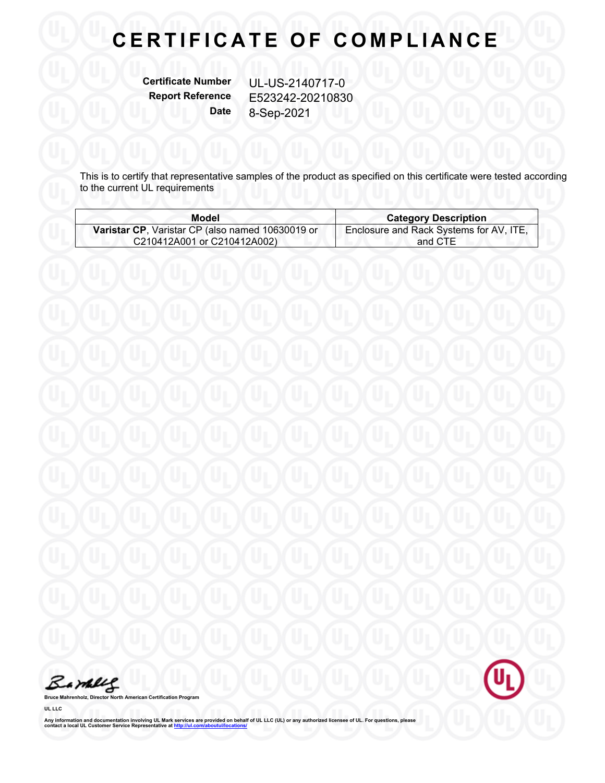# **CERTIFICATE OF COMPLIANCE**

**Certificate Number** UL-US-2140717-0 **Report Reference** E523242-20210830 **Date** 8-Sep-2021

This is to certify that representative samples of the product as specified on this certificate were tested according to the current UL requirements

| Model                                            | <b>Category Description</b>             |
|--------------------------------------------------|-----------------------------------------|
| Varistar CP, Varistar CP (also named 10630019 or | Enclosure and Rack Systems for AV, ITE, |
| C210412A001 or C210412A002)                      | and CTE                                 |

Barbles

**Bruce Mahrenholz, Director North American Certification Program**

**UL LLC**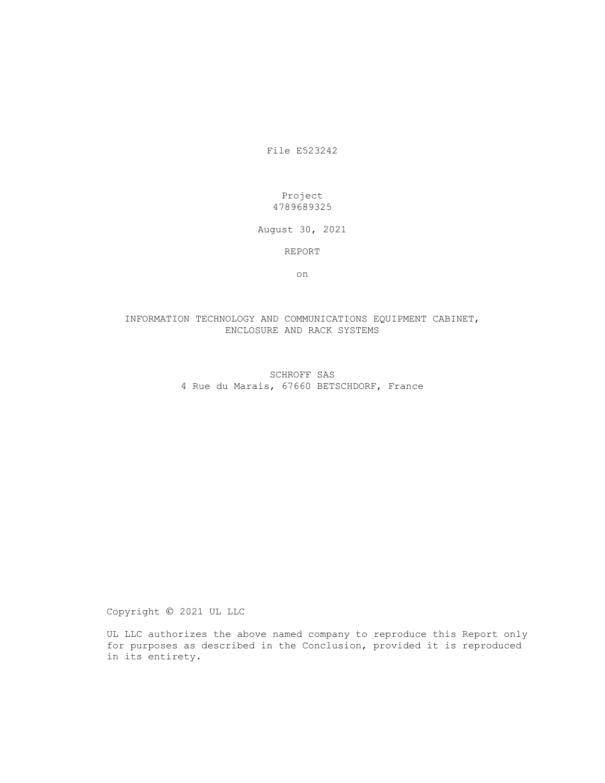File E523242

#### Project 4789689325

August 30, 2021

REPORT

on

#### INFORMATION TECHNOLOGY AND COMMUNICATIONS EQUIPMENT CABINET, ENCLOSURE AND RACK SYSTEMS

#### SCHROFF SAS 4 Rue du Marais, 67660 BETSCHDORF, France

Copyright 2021 UL LLC

UL LLC authorizes the above named company to reproduce this Report only for purposes as described in the Conclusion, provided it is reproduced in its entirety.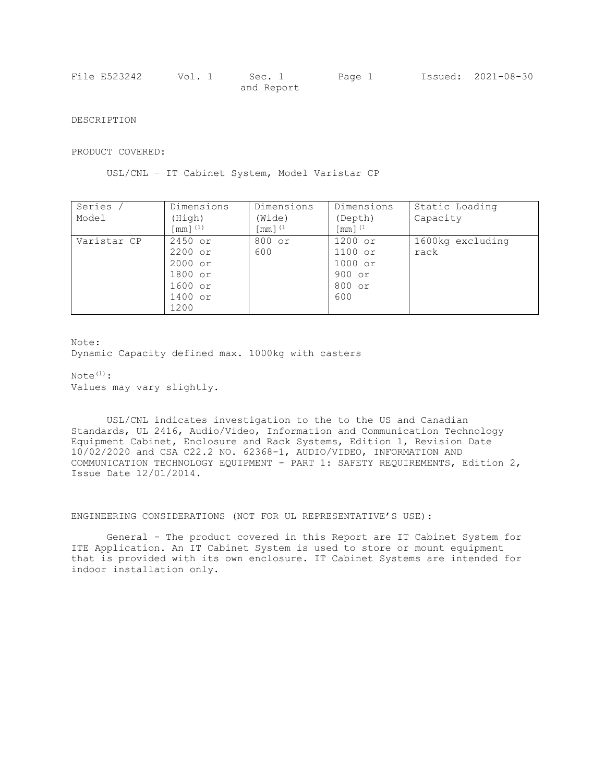| File E523242 | Vol. 1 | Sec. 1     | Page 1 | Issued: 2021-08-30 |
|--------------|--------|------------|--------|--------------------|
|              |        | and Report |        |                    |

DESCRIPTION

PRODUCT COVERED:

USL/CNL – IT Cabinet System, Model Varistar CP

| Series      | Dimensions | Dimensions    | Dimensions     | Static Loading   |
|-------------|------------|---------------|----------------|------------------|
| Model       | (Hiqh)     | (Wide)        | (Depth)        | Capacity         |
|             | [mm] $(1)$ | [mm] $^{(1)}$ | [ $mm$ ] $(1)$ |                  |
| Varistar CP | 2450 or    | 800 or        | 1200 or        | 1600kg excluding |
|             | $2200$ or  | 600           | $1100$ or      | rack             |
|             | $2000$ or  |               | $1000$ or      |                  |
|             | 1800 or    |               | $900$ or       |                  |
|             | $1600$ or  |               | 800 or         |                  |
|             | 1400 or    |               | 600            |                  |
|             | 1200       |               |                |                  |

Note:

Dynamic Capacity defined max. 1000kg with casters

 $Note<sup>(1)</sup>:$ Values may vary slightly.

USL/CNL indicates investigation to the to the US and Canadian Standards, UL 2416, Audio/Video, Information and Communication Technology Equipment Cabinet, Enclosure and Rack Systems, Edition 1, Revision Date 10/02/2020 and CSA C22.2 NO. 62368-1, AUDIO/VIDEO, INFORMATION AND COMMUNICATION TECHNOLOGY EQUIPMENT - PART 1: SAFETY REQUIREMENTS, Edition 2, Issue Date 12/01/2014.

ENGINEERING CONSIDERATIONS (NOT FOR UL REPRESENTATIVE'S USE):

General - The product covered in this Report are IT Cabinet System for ITE Application. An IT Cabinet System is used to store or mount equipment that is provided with its own enclosure. IT Cabinet Systems are intended for indoor installation only.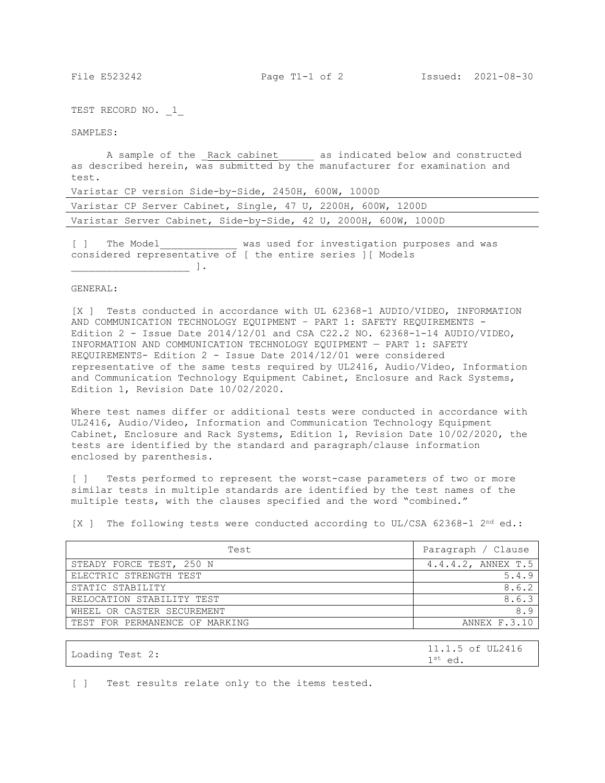TEST RECORD NO. 1

SAMPLES:

A sample of the Rack cabinet as indicated below and constructed as described herein, was submitted by the manufacturer for examination and test.

Varistar CP version Side-by-Side, 2450H, 600W, 1000D

|  | Varistar CP Server Cabinet, Single, 47 U, 2200H, 600W, 1200D    |  |  |  |  |  |  |
|--|-----------------------------------------------------------------|--|--|--|--|--|--|
|  | Varistar Server Cabinet, Side-by-Side, 42 U, 2000H, 600W, 1000D |  |  |  |  |  |  |

[ ] The Model\_\_\_\_\_\_\_\_\_\_\_\_\_ was used for investigation purposes and was considered representative of [ the entire series ][ Models  $\Box$ 

#### GENERAL:

[X ] Tests conducted in accordance with UL 62368-1 AUDIO/VIDEO, INFORMATION AND COMMUNICATION TECHNOLOGY EQUIPMENT – PART 1: SAFETY REQUIREMENTS - Edition 2 - Issue Date  $2014/12/01$  and CSA C22.2 NO. 62368-1-14 AUDIO/VIDEO, INFORMATION AND COMMUNICATION TECHNOLOGY EQUIPMENT — PART 1: SAFETY REQUIREMENTS- Edition 2 - Issue Date 2014/12/01 were considered representative of the same tests required by UL2416, Audio/Video, Information and Communication Technology Equipment Cabinet, Enclosure and Rack Systems, Edition 1, Revision Date 10/02/2020.

Where test names differ or additional tests were conducted in accordance with UL2416, Audio/Video, Information and Communication Technology Equipment Cabinet, Enclosure and Rack Systems, Edition 1, Revision Date 10/02/2020, the tests are identified by the standard and paragraph/clause information enclosed by parenthesis.

[ ] Tests performed to represent the worst-case parameters of two or more similar tests in multiple standards are identified by the test names of the multiple tests, with the clauses specified and the word "combined."

[X ] The following tests were conducted according to UL/CSA 62368-1  $2^{nd}$  ed.:

| Test                           | Paragraph / Clause |
|--------------------------------|--------------------|
| STEADY FORCE TEST, 250 N       | 4.4.4.2, ANNEX T.5 |
| ELECTRIC STRENGTH TEST         | 5.4.9              |
| STATIC STABILITY               | 8.6.2              |
| RELOCATION STABILITY TEST      | 8.6.3              |
| WHEEL OR CASTER SECUREMENT     | 8.                 |
| TEST FOR PERMANENCE OF MARKING | ANNEX F.3.10       |

|                 | 11.1.5 of UL2416    |
|-----------------|---------------------|
| Loading Test 2: | $1^{\text{st}}$ ed. |

[ ] Test results relate only to the items tested.